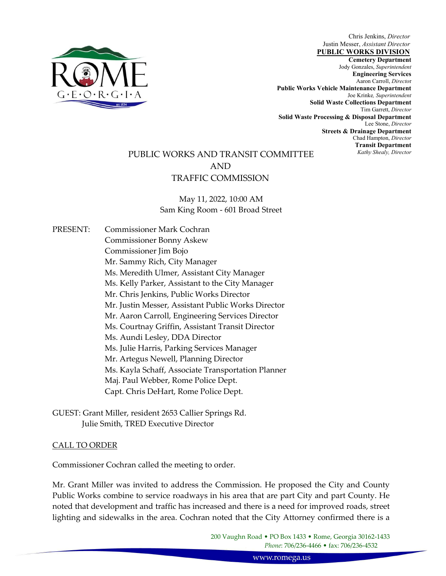

Chris Jenkins, Director Justin Messer, Assistant Director

Cemetery Department PUBLIC WORKS DIVISION Jody Gonzales, Superintendent Engineering Services Aaron Carroll, Director Public Works Vehicle Maintenance Department Joe Krinke, Superintendent Solid Waste Collections Department Tim Garrett, Director Solid Waste Processing & Disposal Department Lee Stone, Director Streets & Drainage Department Chad Hampton, Director Transit Department Kathy Shealy, Director

# PUBLIC WORKS AND TRANSIT COMMITTEE AND TRAFFIC COMMISSION

May 11, 2022, 10:00 AM Sam King Room - 601 Broad Street

PRESENT: Commissioner Mark Cochran Commissioner Bonny Askew Commissioner Jim Bojo Mr. Sammy Rich, City Manager Ms. Meredith Ulmer, Assistant City Manager Ms. Kelly Parker, Assistant to the City Manager Mr. Chris Jenkins, Public Works Director Mr. Justin Messer, Assistant Public Works Director Mr. Aaron Carroll, Engineering Services Director Ms. Courtnay Griffin, Assistant Transit Director Ms. Aundi Lesley, DDA Director Ms. Julie Harris, Parking Services Manager Mr. Artegus Newell, Planning Director Ms. Kayla Schaff, Associate Transportation Planner Maj. Paul Webber, Rome Police Dept. Capt. Chris DeHart, Rome Police Dept.

GUEST: Grant Miller, resident 2653 Callier Springs Rd. Julie Smith, TRED Executive Director

# CALL TO ORDER

Commissioner Cochran called the meeting to order.

Mr. Grant Miller was invited to address the Commission. He proposed the City and County Public Works combine to service roadways in his area that are part City and part County. He noted that development and traffic has increased and there is a need for improved roads, street lighting and sidewalks in the area. Cochran noted that the City Attorney confirmed there is a

> 200 Vaughn Road • PO Box 1433 • Rome, Georgia 30162-1433 Phone: 706/236-4466 • fax: 706/236-4532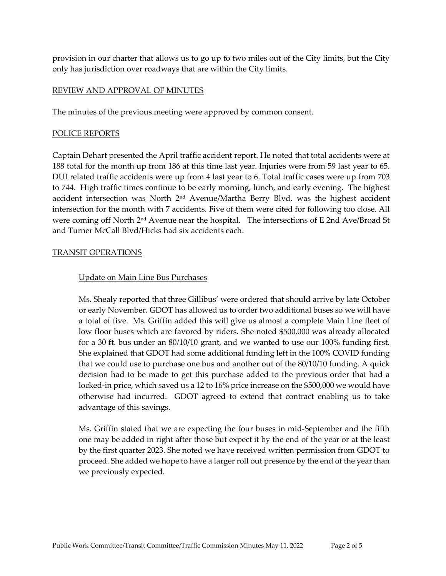provision in our charter that allows us to go up to two miles out of the City limits, but the City only has jurisdiction over roadways that are within the City limits.

# REVIEW AND APPROVAL OF MINUTES

The minutes of the previous meeting were approved by common consent.

# POLICE REPORTS

Captain Dehart presented the April traffic accident report. He noted that total accidents were at 188 total for the month up from 186 at this time last year. Injuries were from 59 last year to 65. DUI related traffic accidents were up from 4 last year to 6. Total traffic cases were up from 703 to 744. High traffic times continue to be early morning, lunch, and early evening. The highest accident intersection was North 2nd Avenue/Martha Berry Blvd. was the highest accident intersection for the month with 7 accidents. Five of them were cited for following too close. All were coming off North 2nd Avenue near the hospital. The intersections of E 2nd Ave/Broad St and Turner McCall Blvd/Hicks had six accidents each.

# TRANSIT OPERATIONS

# Update on Main Line Bus Purchases

Ms. Shealy reported that three Gillibus' were ordered that should arrive by late October or early November. GDOT has allowed us to order two additional buses so we will have a total of five. Ms. Griffin added this will give us almost a complete Main Line fleet of low floor buses which are favored by riders. She noted \$500,000 was already allocated for a 30 ft. bus under an 80/10/10 grant, and we wanted to use our 100% funding first. She explained that GDOT had some additional funding left in the 100% COVID funding that we could use to purchase one bus and another out of the 80/10/10 funding. A quick decision had to be made to get this purchase added to the previous order that had a locked-in price, which saved us a 12 to 16% price increase on the \$500,000 we would have otherwise had incurred. GDOT agreed to extend that contract enabling us to take advantage of this savings.

Ms. Griffin stated that we are expecting the four buses in mid-September and the fifth one may be added in right after those but expect it by the end of the year or at the least by the first quarter 2023. She noted we have received written permission from GDOT to proceed. She added we hope to have a larger roll out presence by the end of the year than we previously expected.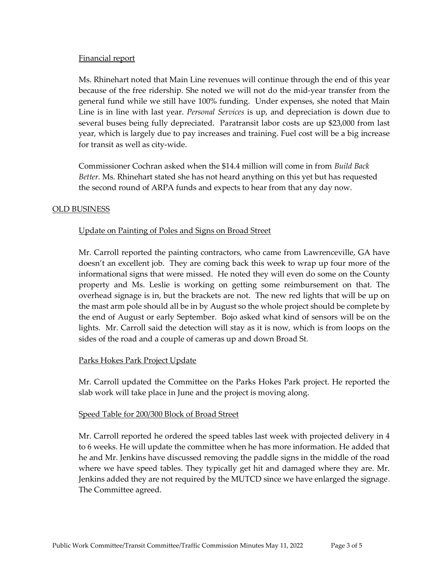# Financial report

Ms. Rhinehart noted that Main Line revenues will continue through the end of this year because of the free ridership. She noted we will not do the mid-year transfer from the general fund while we still have 100% funding. Under expenses, she noted that Main Line is in line with last year. *Personal Services* is up, and depreciation is down due to several buses being fully depreciated. Paratransit labor costs are up \$23,000 from last year, which is largely due to pay increases and training. Fuel cost will be a big increase for transit as well as city-wide.

Commissioner Cochran asked when the \$14.4 million will come in from Build Back Better. Ms. Rhinehart stated she has not heard anything on this yet but has requested the second round of ARPA funds and expects to hear from that any day now.

# OLD BUSINESS

# Update on Painting of Poles and Signs on Broad Street

Mr. Carroll reported the painting contractors, who came from Lawrenceville, GA have doesn't an excellent job. They are coming back this week to wrap up four more of the informational signs that were missed. He noted they will even do some on the County property and Ms. Leslie is working on getting some reimbursement on that. The overhead signage is in, but the brackets are not. The new red lights that will be up on the mast arm pole should all be in by August so the whole project should be complete by the end of August or early September. Bojo asked what kind of sensors will be on the lights. Mr. Carroll said the detection will stay as it is now, which is from loops on the sides of the road and a couple of cameras up and down Broad St.

#### Parks Hokes Park Project Update

Mr. Carroll updated the Committee on the Parks Hokes Park project. He reported the slab work will take place in June and the project is moving along.

#### Speed Table for 200/300 Block of Broad Street

Mr. Carroll reported he ordered the speed tables last week with projected delivery in 4 to 6 weeks. He will update the committee when he has more information. He added that he and Mr. Jenkins have discussed removing the paddle signs in the middle of the road where we have speed tables. They typically get hit and damaged where they are. Mr. Jenkins added they are not required by the MUTCD since we have enlarged the signage. The Committee agreed.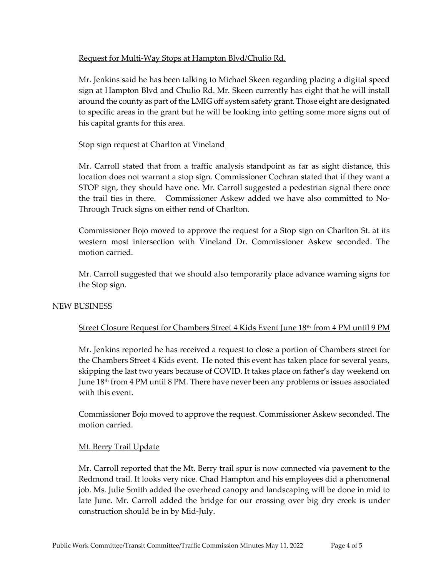# Request for Multi-Way Stops at Hampton Blvd/Chulio Rd.

Mr. Jenkins said he has been talking to Michael Skeen regarding placing a digital speed sign at Hampton Blvd and Chulio Rd. Mr. Skeen currently has eight that he will install around the county as part of the LMIG off system safety grant. Those eight are designated to specific areas in the grant but he will be looking into getting some more signs out of his capital grants for this area.

# Stop sign request at Charlton at Vineland

Mr. Carroll stated that from a traffic analysis standpoint as far as sight distance, this location does not warrant a stop sign. Commissioner Cochran stated that if they want a STOP sign, they should have one. Mr. Carroll suggested a pedestrian signal there once the trail ties in there. Commissioner Askew added we have also committed to No-Through Truck signs on either rend of Charlton.

Commissioner Bojo moved to approve the request for a Stop sign on Charlton St. at its western most intersection with Vineland Dr. Commissioner Askew seconded. The motion carried.

Mr. Carroll suggested that we should also temporarily place advance warning signs for the Stop sign.

# NEW BUSINESS

# Street Closure Request for Chambers Street 4 Kids Event June 18<sup>th</sup> from 4 PM until 9 PM

Mr. Jenkins reported he has received a request to close a portion of Chambers street for the Chambers Street 4 Kids event. He noted this event has taken place for several years, skipping the last two years because of COVID. It takes place on father's day weekend on June  $18<sup>th</sup>$  from 4 PM until 8 PM. There have never been any problems or issues associated with this event.

Commissioner Bojo moved to approve the request. Commissioner Askew seconded. The motion carried.

# Mt. Berry Trail Update

Mr. Carroll reported that the Mt. Berry trail spur is now connected via pavement to the Redmond trail. It looks very nice. Chad Hampton and his employees did a phenomenal job. Ms. Julie Smith added the overhead canopy and landscaping will be done in mid to late June. Mr. Carroll added the bridge for our crossing over big dry creek is under construction should be in by Mid-July.